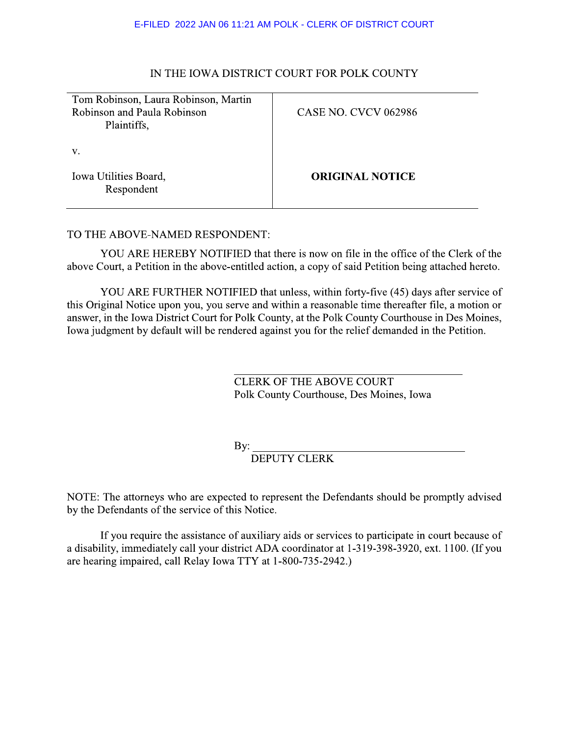#### E-FILED 2022 JAN 06 11:21 AM POLK - CLERK OF DISTRICT COURT

## IN THE IOWA DISTRICT COURT FOR POLK COUNTY

| Tom Robinson, Laura Robinson, Martin<br>Robinson and Paula Robinson<br>Plaintiffs, | <b>CASE NO. CVCV 062986</b> |
|------------------------------------------------------------------------------------|-----------------------------|
| V.<br>Iowa Utilities Board,<br>Respondent                                          | <b>ORIGINAL NOTICE</b>      |
|                                                                                    |                             |

#### TO THE ABOVE-NAMED RESPONDENT:

YOU ARE HEREBY NOTIFIED that there is now on file in the office of the Clerk of the above Court, a Petition in the above-entitled action, a copy of said Petition being attached hereto.

YOU ARE FURTHER NOTIFIED that unless, within forty-five (45) days after service of this Original Notice upon you, you serve and within a reasonable time thereafter file, a motion or answer, in the Iowa District Court for Polk County, at the Polk County Courthouse in Des Moines, Iowa judgment by default will be rendered against you for the relief demanded in the Petition.

> **CLERK OF THE ABOVE COURT** Polk County Courthouse, Des Moines, Iowa

By:  $\overline{\phantom{0}}$ 

**DEPUTY CLERK** 

NOTE: The attorneys who are expected to represent the Defendants should be promptly advised by the Defendants of the service of this Notice.

If you require the assistance of auxiliary aids or services to participate in court because of a disability, immediately call your district ADA coordinator at 1-319-398-3920, ext. 1100. (If you are hearing impaired, call Relay Iowa TTY at 1-800-735-2942.)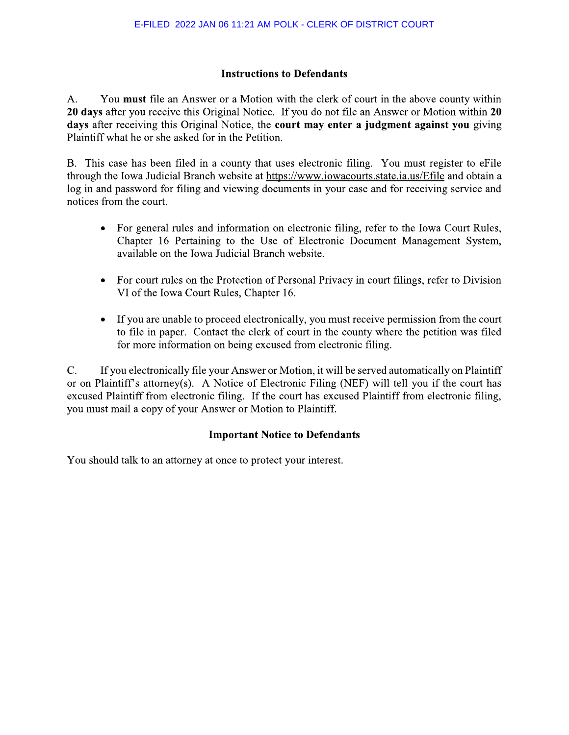# **Instructions to Defendants**

You must file an Answer or a Motion with the clerk of court in the above county within  $A<sub>1</sub>$ 20 days after you receive this Original Notice. If you do not file an Answer or Motion within 20 days after receiving this Original Notice, the court may enter a judgment against you giving Plaintiff what he or she asked for in the Petition.

B. This case has been filed in a county that uses electronic filing. You must register to eFile through the Iowa Judicial Branch website at https://www.iowacourts.state.ia.us/Efile and obtain a log in and password for filing and viewing documents in your case and for receiving service and notices from the court.

- For general rules and information on electronic filing, refer to the Iowa Court Rules, Chapter 16 Pertaining to the Use of Electronic Document Management System, available on the Iowa Judicial Branch website.
- For court rules on the Protection of Personal Privacy in court filings, refer to Division  $\bullet$ VI of the Iowa Court Rules, Chapter 16.
- If you are unable to proceed electronically, you must receive permission from the court  $\bullet$ to file in paper. Contact the clerk of court in the county where the petition was filed for more information on being excused from electronic filing.

If you electronically file your Answer or Motion, it will be served automatically on Plaintiff  $\mathbf{C}$ . or on Plaintiff's attorney(s). A Notice of Electronic Filing (NEF) will tell you if the court has excused Plaintiff from electronic filing. If the court has excused Plaintiff from electronic filing, you must mail a copy of your Answer or Motion to Plaintiff.

## **Important Notice to Defendants**

You should talk to an attorney at once to protect your interest.